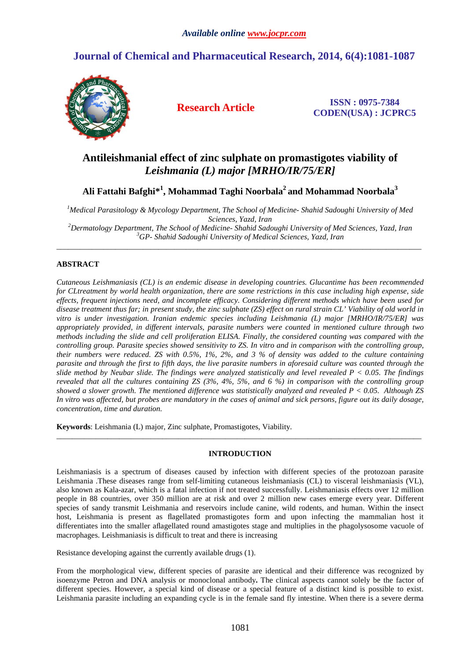# **Journal of Chemical and Pharmaceutical Research, 2014, 6(4):1081-1087**



**Research Article ISSN : 0975-7384 CODEN(USA) : JCPRC5**

# **Antileishmanial effect of zinc sulphate on promastigotes viability of** *Leishmania (L) major [MRHO/IR/75/ER]*

**Ali Fattahi Bafghi\*<sup>1</sup> , Mohammad Taghi Noorbala<sup>2</sup>and Mohammad Noorbala<sup>3</sup>**

*<sup>1</sup>Medical Parasitology & Mycology Department, The School of Medicine- Shahid Sadoughi University of Med Sciences, Yazd, Iran* 

*<sup>2</sup>Dermatology Department, The School of Medicine- Shahid Sadoughi University of Med Sciences, Yazd, Iran <sup>3</sup>GP- Shahid Sadoughi University of Medical Sciences, Yazd, Iran* \_\_\_\_\_\_\_\_\_\_\_\_\_\_\_\_\_\_\_\_\_\_\_\_\_\_\_\_\_\_\_\_\_\_\_\_\_\_\_\_\_\_\_\_\_\_\_\_\_\_\_\_\_\_\_\_\_\_\_\_\_\_\_\_\_\_\_\_\_\_\_\_\_\_\_\_\_\_\_\_\_\_\_\_\_\_\_\_\_\_\_\_\_

# **ABSTRACT**

*Cutaneous Leishmaniasis (CL) is an endemic disease in developing countries. Glucantime has been recommended for CLtreatment by world health organization, there are some restrictions in this case including high expense, side effects, frequent injections need, and incomplete efficacy. Considering different methods which have been used for disease treatment thus far; in present study, the zinc sulphate (ZS) effect on rural strain CL' Viability of old world in vitro is under investigation. Iranian endemic species including Leishmania (L) major [MRHO/IR/75/ER] was appropriately provided, in different intervals, parasite numbers were counted in mentioned culture through two methods including the slide and cell proliferation ELISA. Finally, the considered counting was compared with the controlling group. Parasite species showed sensitivity to ZS. In vitro and in comparison with the controlling group, their numbers were reduced. ZS with 0.5%, 1%, 2%, and 3 % of density was added to the culture containing parasite and through the first to fifth days, the live parasite numbers in aforesaid culture was counted through the slide method by Neubar slide. The findings were analyzed statistically and level revealed P < 0.05. The findings revealed that all the cultures containing ZS (3%, 4%, 5%, and 6 %) in comparison with the controlling group showed a slower growth. The mentioned difference was statistically analyzed and revealed P < 0.05. Although ZS In vitro was affected, but probes are mandatory in the cases of animal and sick persons, figure out its daily dosage, concentration, time and duration.*

**Keywords**: Leishmania (L) major, Zinc sulphate, Promastigotes, Viability.

# **INTRODUCTION**

\_\_\_\_\_\_\_\_\_\_\_\_\_\_\_\_\_\_\_\_\_\_\_\_\_\_\_\_\_\_\_\_\_\_\_\_\_\_\_\_\_\_\_\_\_\_\_\_\_\_\_\_\_\_\_\_\_\_\_\_\_\_\_\_\_\_\_\_\_\_\_\_\_\_\_\_\_\_\_\_\_\_\_\_\_\_\_\_\_\_\_\_\_

Leishmaniasis is a spectrum of diseases caused by infection with different species of the protozoan parasite Leishmania .These diseases range from self-limiting cutaneous leishmaniasis (CL) to visceral leishmaniasis (VL), also known as Kala-azar, which is a fatal infection if not treated successfully. Leishmaniasis effects over 12 million people in 88 countries, over 350 million are at risk and over 2 million new cases emerge every year. Different species of sandy transmit Leishmania and reservoirs include canine, wild rodents, and human. Within the insect host, Leishmania is present as flagellated promastigotes form and upon infecting the mammalian host it differentiates into the smaller aflagellated round amastigotes stage and multiplies in the phagolysosome vacuole of macrophages. Leishmaniasis is difficult to treat and there is increasing

Resistance developing against the currently available drugs (1).

From the morphological view, different species of parasite are identical and their difference was recognized by isoenzyme Petron and DNA analysis or monoclonal antibody**.** The clinical aspects cannot solely be the factor of different species. However, a special kind of disease or a special feature of a distinct kind is possible to exist. Leishmania parasite including an expanding cycle is in the female sand fly intestine. When there is a severe derma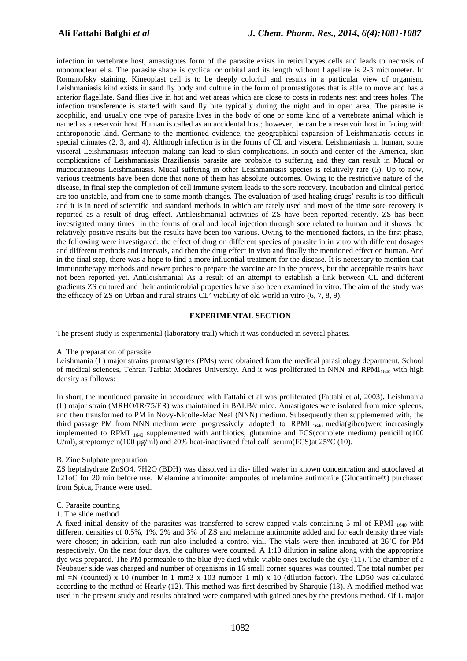infection in vertebrate host, amastigotes form of the parasite exists in reticulocyes cells and leads to necrosis of mononuclear ells. The parasite shape is cyclical or orbital and its length without flagellate is 2-3 micrometer. In Romanofsky staining, Kineoplast cell is to be deeply colorful and results in a particular view of organism. Leishmaniasis kind exists in sand fly body and culture in the form of promastigotes that is able to move and has a anterior flagellate. Sand flies live in hot and wet areas which are close to costs in rodents nest and trees holes. The infection transference is started with sand fly bite typically during the night and in open area. The parasite is zoophilic, and usually one type of parasite lives in the body of one or some kind of a vertebrate animal which is named as a reservoir host. Human is called as an accidental host; however, he can be a reservoir host in facing with anthroponotic kind. Germane to the mentioned evidence, the geographical expansion of Leishmaniasis occurs in special climates (2, 3, and 4). Although infection is in the forms of CL and visceral Leishmaniasis in human, some visceral Leishmaniasis infection making can lead to skin complications. In south and center of the America, skin complications of Leishmaniasis Braziliensis parasite are probable to suffering and they can result in Mucal or mucocutaneous Leishmaniasis. Mucal suffering in other Leishmaniasis species is relatively rare (5). Up to now, various treatments have been done that none of them has absolute outcomes. Owing to the restrictive nature of the disease, in final step the completion of cell immune system leads to the sore recovery. Incubation and clinical period are too unstable, and from one to some month changes. The evaluation of used healing drugs' results is too difficult and it is in need of scientific and standard methods in which are rarely used and most of the time sore recovery is reported as a result of drug effect. Antileishmanial activities of ZS have been reported recently. ZS has been investigated many times in the forms of oral and local injection through sore related to human and it shows the relatively positive results but the results have been too various. Owing to the mentioned factors, in the first phase, the following were investigated: the effect of drug on different species of parasite in in vitro with different dosages and different methods and intervals, and then the drug effect in vivo and finally the mentioned effect on human. And in the final step, there was a hope to find a more influential treatment for the disease. It is necessary to mention that immunotherapy methods and newer probes to prepare the vaccine are in the process, but the acceptable results have not been reported yet. Antileishmanial As a result of an attempt to establish a link between CL and different gradients ZS cultured and their antimicrobial properties have also been examined in vitro. The aim of the study was the efficacy of ZS on Urban and rural strains CL' viability of old world in vitro (6, 7, 8, 9).

*\_\_\_\_\_\_\_\_\_\_\_\_\_\_\_\_\_\_\_\_\_\_\_\_\_\_\_\_\_\_\_\_\_\_\_\_\_\_\_\_\_\_\_\_\_\_\_\_\_\_\_\_\_\_\_\_\_\_\_\_\_\_\_\_\_\_\_\_\_\_\_\_\_\_\_\_\_*

## **EXPERIMENTAL SECTION**

The present study is experimental (laboratory-trail) which it was conducted in several phases.

A. The preparation of parasite

Leishmania (L) major strains promastigotes (PMs) were obtained from the medical parasitology department, School of medical sciences, Tehran Tarbiat Modares University. And it was proliferated in NNN and RPMI<sub>1640</sub> with high density as follows:

In short, the mentioned parasite in accordance with Fattahi et al was proliferated (Fattahi et al, 2003)**.** Leishmania (L) major strain (MRHO/IR/75/ER) was maintained in BALB/c mice. Amastigotes were isolated from mice spleens, and then transformed to PM in Novy-Nicolle-Mac Neal (NNN) medium. Subsequently then supplemented with, the third passage PM from NNN medium were progressively adopted to RPMI 1640 media(gibco)were increasingly implemented to RPMI <sub>1640</sub> supplemented with antibiotics, glutamine and FCS(complete medium) penicillin(100 U/ml), streptomycin(100  $\mu$ g/ml) and 20% heat-inactivated fetal calf serum(FCS)at 25°C (10).

#### B. Zinc Sulphate preparation

ZS heptahydrate ZnSO4. 7H2O (BDH) was dissolved in dis- tilled water in known concentration and autoclaved at 121oC for 20 min before use. Melamine antimonite: ampoules of melamine antimonite (Glucantime®) purchased from Spica, France were used.

- C. Parasite counting
- 1. The slide method

A fixed initial density of the parasites was transferred to screw-capped vials containing 5 ml of RPMI  $_{1640}$  with different densities of 0.5%, 1%, 2% and 3% of ZS and melamine antimonite added and for each density three vials were chosen; in addition, each run also included a control vial. The vials were then incubated at 26°C for PM respectively. On the next four days, the cultures were counted. A 1:10 dilution in saline along with the appropriate dye was prepared. The PM permeable to the blue dye died while viable ones exclude the dye (11). The chamber of a Neubauer slide was charged and number of organisms in 16 small corner squares was counted. The total number per ml  $=N$  (counted) x 10 (number in 1 mm3 x 103 number 1 ml) x 10 (dilution factor). The LD50 was calculated according to the method of Hearly (12). This method was first described by Sharquie (13). A modified method was used in the present study and results obtained were compared with gained ones by the previous method. Of L major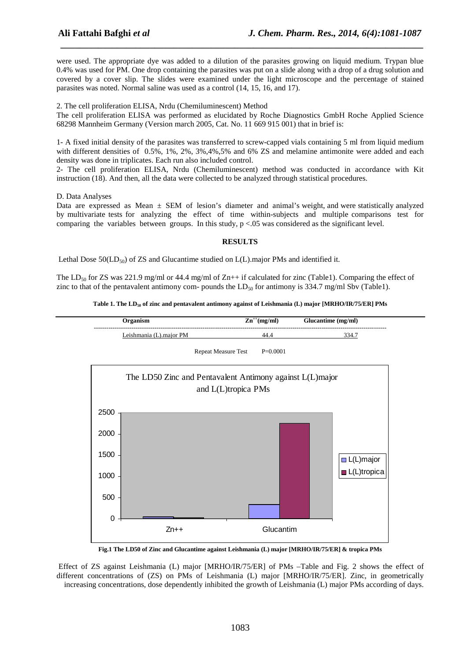were used. The appropriate dye was added to a dilution of the parasites growing on liquid medium. Trypan blue 0.4% was used for PM. One drop containing the parasites was put on a slide along with a drop of a drug solution and covered by a cover slip. The slides were examined under the light microscope and the percentage of stained parasites was noted. Normal saline was used as a control (14, 15, 16, and 17).

*\_\_\_\_\_\_\_\_\_\_\_\_\_\_\_\_\_\_\_\_\_\_\_\_\_\_\_\_\_\_\_\_\_\_\_\_\_\_\_\_\_\_\_\_\_\_\_\_\_\_\_\_\_\_\_\_\_\_\_\_\_\_\_\_\_\_\_\_\_\_\_\_\_\_\_\_\_*

2. The cell proliferation ELISA, Nrdu (Chemiluminescent) Method

The cell proliferation ELISA was performed as elucidated by Roche Diagnostics GmbH Roche Applied Science 68298 Mannheim Germany (Version march 2005, Cat. No. 11 669 915 001) that in brief is:

1- A fixed initial density of the parasites was transferred to screw-capped vials containing 5 ml from liquid medium with different densities of 0.5%, 1%, 2%, 3%,4%,5% and 6% ZS and melamine antimonite were added and each density was done in triplicates. Each run also included control.

2- The cell proliferation ELISA, Nrdu (Chemiluminescent) method was conducted in accordance with Kit instruction (18). And then, all the data were collected to be analyzed through statistical procedures.

D. Data Analyses

0

500

Data are expressed as Mean  $\pm$  SEM of lesion's diameter and animal's weight, and were statistically analyzed by multivariate tests for analyzing the effect of time within-subjects and multiple comparisons test for comparing the variables between groups. In this study,  $p < 0.05$  was considered as the significant level.

## **RESULTS**

Lethal Dose  $50(LD_{50})$  of ZS and Glucantime studied on  $L(L)$ .major PMs and identified it.

The LD<sub>50</sub> for ZS was 221.9 mg/ml or 44.4 mg/ml of Zn++ if calculated for zinc (Table1). Comparing the effect of zinc to that of the pentavalent antimony com- pounds the  $LD_{50}$  for antimony is 334.7 mg/ml Sbv (Table1).

**Table 1. The LD50 of zinc and pentavalent antimony against of Leishmania (L) major [MRHO/IR/75/ER] PMs**



**Fig.1 The LD50 of Zinc and Glucantime against Leishmania (L) major [MRHO/IR/75/ER] & tropica PMs** 

Zn++ Glucantim

 Effect of ZS against Leishmania (L) major [MRHO/IR/75/ER] of PMs –Table and Fig. 2 shows the effect of different concentrations of (ZS) on PMs of Leishmania (L) major [MRHO/IR/75/ER]. Zinc, in geometrically increasing concentrations, dose dependently inhibited the growth of Leishmania (L) major PMs according of days.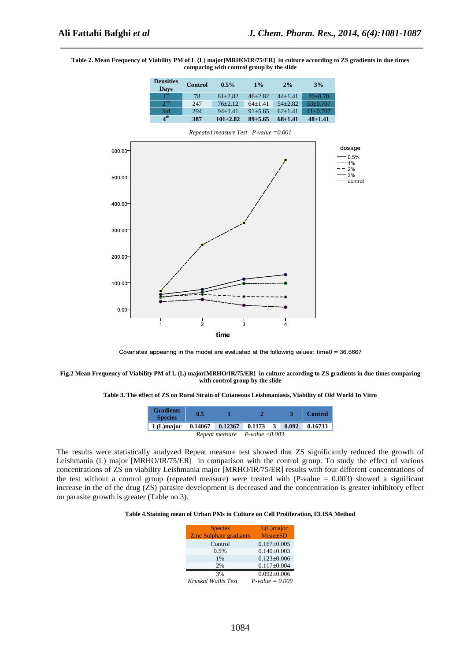#### **Table 2. Mean Frequency of Viability PM of L (L) major[MRHO/IR/75/ER] in culture according to ZS gradients in due times comparing with control group by the slide**

*\_\_\_\_\_\_\_\_\_\_\_\_\_\_\_\_\_\_\_\_\_\_\_\_\_\_\_\_\_\_\_\_\_\_\_\_\_\_\_\_\_\_\_\_\_\_\_\_\_\_\_\_\_\_\_\_\_\_\_\_\_\_\_\_\_\_\_\_\_\_\_\_\_\_\_\_\_*



Covariates appearing in the model are evaluated at the following values: time0 = 36.6667

#### **Fig.2 Mean Frequency of Viability PM of L (L) major[MRHO/IR/75/ER] in culture according to ZS gradients in due times comparing with control group by the slide**

**Table 3. The effect of ZS on Rural Strain of Cutaneous Leishmaniasis, Viability of Old World In Vitro** 

| <b>Gradients</b><br><b>Species</b> | 0.5                               |                                |  |  |       | <b>Control</b> |
|------------------------------------|-----------------------------------|--------------------------------|--|--|-------|----------------|
| $L(L)$ major                       |                                   | $0.14067$ $0.12367$ $0.1173$ 3 |  |  | 0.092 | 0.16733        |
|                                    | Repeat measure $P$ -value < 0.003 |                                |  |  |       |                |

The results were statistically analyzed Repeat measure test showed that ZS significantly reduced the growth of Leishmania (L) major [MRHO/IR/75/ER] in comparison with the control group. To study the effect of various concentrations of ZS on viability Leishmania major [MRHO/IR/75/ER] results with four different concentrations of the test without a control group (repeated measure) were treated with  $(P-value = 0.003)$  showed a significant increase in the of the drug (ZS) parasite development is decreased and the concentration is greater inhibitory effect on parasite growth is greater (Table no.3).

### **Table 4.Staining mean of Urban PMs in Culture on Cell Proliferation, ELISA Method**

| <b>Species</b>                 | $L(L)$ major      |
|--------------------------------|-------------------|
| <b>Zinc Sulphate gradiants</b> | $Mean \pm SD$     |
| Control                        | $0.167 \pm 0.005$ |
| 0.5%                           | $0.140 \pm 0.003$ |
| 1%                             | $0.123 \pm 0.006$ |
| 2%                             | $0.117 \pm 0.004$ |
| 3%                             | $0.092 \pm 0.006$ |
| Kruskal Wallis Test            | $P-value = 0.009$ |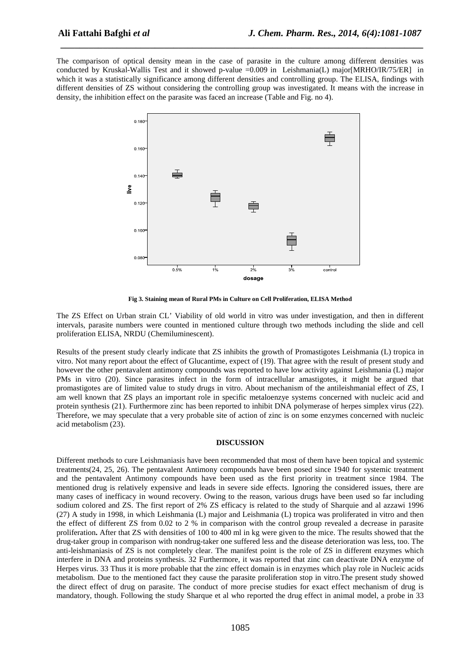The comparison of optical density mean in the case of parasite in the culture among different densities was conducted by Kruskal-Wallis Test and it showed p-value =0.009 in Leishmania(L) major[MRHO/IR/75/ER] in which it was a statistically significance among different densities and controlling group. The ELISA, findings with different densities of ZS without considering the controlling group was investigated. It means with the increase in density, the inhibition effect on the parasite was faced an increase (Table and Fig. no 4).

*\_\_\_\_\_\_\_\_\_\_\_\_\_\_\_\_\_\_\_\_\_\_\_\_\_\_\_\_\_\_\_\_\_\_\_\_\_\_\_\_\_\_\_\_\_\_\_\_\_\_\_\_\_\_\_\_\_\_\_\_\_\_\_\_\_\_\_\_\_\_\_\_\_\_\_\_\_*



**Fig 3. Staining mean of Rural PMs in Culture on Cell Proliferation, ELISA Method** 

The ZS Effect on Urban strain CL' Viability of old world in vitro was under investigation, and then in different intervals, parasite numbers were counted in mentioned culture through two methods including the slide and cell proliferation ELISA, NRDU (Chemiluminescent).

Results of the present study clearly indicate that ZS inhibits the growth of Promastigotes Leishmania (L) tropica in vitro. Not many report about the effect of Glucantime, expect of (19). That agree with the result of present study and however the other pentavalent antimony compounds was reported to have low activity against Leishmania (L) major PMs in vitro (20). Since parasites infect in the form of intracellular amastigotes, it might be argued that promastigotes are of limited value to study drugs in vitro. About mechanism of the antileishmanial effect of ZS, I am well known that ZS plays an important role in specific metaloenzye systems concerned with nucleic acid and protein synthesis (21). Furthermore zinc has been reported to inhibit DNA polymerase of herpes simplex virus (22). Therefore, we may speculate that a very probable site of action of zinc is on some enzymes concerned with nucleic acid metabolism (23).

#### **DISCUSSION**

Different methods to cure Leishmaniasis have been recommended that most of them have been topical and systemic treatments(24, 25, 26). The pentavalent Antimony compounds have been posed since 1940 for systemic treatment and the pentavalent Antimony compounds have been used as the first priority in treatment since 1984. The mentioned drug is relatively expensive and leads in severe side effects. Ignoring the considered issues, there are many cases of inefficacy in wound recovery. Owing to the reason, various drugs have been used so far including sodium colored and ZS. The first report of 2% ZS efficacy is related to the study of Sharquie and al azzawi 1996 (27) A study in 1998, in which Leishmania (L) major and Leishmania (L) tropica was proliferated in vitro and then the effect of different ZS from 0.02 to 2 % in comparison with the control group revealed a decrease in parasite proliferation**.** After that ZS with densities of 100 to 400 ml in kg were given to the mice. The results showed that the drug-taker group in comparison with nondrug-taker one suffered less and the disease deterioration was less, too. The anti-leishmaniasis of ZS is not completely clear. The manifest point is the role of ZS in different enzymes which interfere in DNA and proteins synthesis. 32 Furthermore, it was reported that zinc can deactivate DNA enzyme of Herpes virus. 33 Thus it is more probable that the zinc effect domain is in enzymes which play role in Nucleic acids metabolism. Due to the mentioned fact they cause the parasite proliferation stop in vitro.The present study showed the direct effect of drug on parasite. The conduct of more precise studies for exact effect mechanism of drug is mandatory, though. Following the study Sharque et al who reported the drug effect in animal model, a probe in 33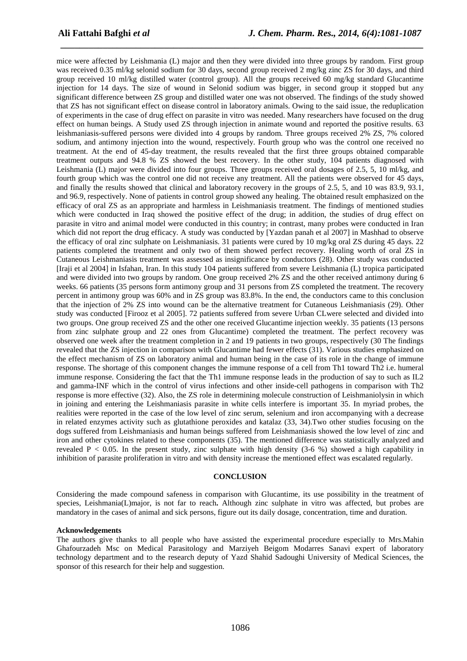mice were affected by Leishmania (L) major and then they were divided into three groups by random. First group was received 0.35 ml/kg selonid sodium for 30 days, second group received 2 mg/kg zinc ZS for 30 days, and third group received 10 ml/kg distilled water (control group). All the groups received 60 mg/kg standard Glucantime injection for 14 days. The size of wound in Selonid sodium was bigger, in second group it stopped but any significant difference between ZS group and distilled water one was not observed. The findings of the study showed that ZS has not significant effect on disease control in laboratory animals. Owing to the said issue, the reduplication of experiments in the case of drug effect on parasite in vitro was needed. Many researchers have focused on the drug effect on human beings. A Study used ZS through injection in animate wound and reported the positive results. 63 leishmaniasis-suffered persons were divided into 4 groups by random. Three groups received 2% ZS, 7% colored sodium, and antimony injection into the wound, respectively. Fourth group who was the control one received no treatment. At the end of 45-day treatment, the results revealed that the first three groups obtained comparable treatment outputs and 94.8 % ZS showed the best recovery. In the other study, 104 patients diagnosed with Leishmania (L) major were divided into four groups. Three groups received oral dosages of 2.5, 5, 10 ml/kg, and fourth group which was the control one did not receive any treatment. All the patients were observed for 45 days, and finally the results showed that clinical and laboratory recovery in the groups of 2.5, 5, and 10 was 83.9, 93.1, and 96.9, respectively. None of patients in control group showed any healing. The obtained result emphasized on the efficacy of oral ZS as an appropriate and harmless in Leishmaniasis treatment. The findings of mentioned studies which were conducted in Iraq showed the positive effect of the drug; in addition, the studies of drug effect on parasite in vitro and animal model were conducted in this country; in contrast, many probes were conducted in Iran which did not report the drug efficacy. A study was conducted by [Yazdan panah et al 2007] in Mashhad to observe the efficacy of oral zinc sulphate on Leishmaniasis. 31 patients were cured by 10 mg/kg oral ZS during 45 days. 22 patients completed the treatment and only two of them showed perfect recovery. Healing worth of oral ZS in Cutaneous Leishmaniasis treatment was assessed as insignificance by conductors (28). Other study was conducted [Iraji et al 2004] in Isfahan, Iran. In this study 104 patients suffered from severe Leishmania (L) tropica participated and were divided into two groups by random. One group received 2% ZS and the other received antimony during 6 weeks. 66 patients (35 persons form antimony group and 31 persons from ZS completed the treatment. The recovery percent in antimony group was 60% and in ZS group was 83.8%. In the end, the conductors came to this conclusion that the injection of 2% ZS into wound can be the alternative treatment for Cutaneous Leishmaniasis (29). Other study was conducted [Firooz et al 2005]. 72 patients suffered from severe Urban CLwere selected and divided into two groups. One group received ZS and the other one received Glucantime injection weekly. 35 patients (13 persons from zinc sulphate group and 22 ones from Glucantime) completed the treatment. The perfect recovery was observed one week after the treatment completion in 2 and 19 patients in two groups, respectively (30 The findings revealed that the ZS injection in comparison with Glucantime had fewer effects (31). Various studies emphasized on the effect mechanism of ZS on laboratory animal and human being in the case of its role in the change of immune response. The shortage of this component changes the immune response of a cell from Th1 toward Th2 i.e. humeral immune response. Considering the fact that the Th1 immune response leads in the production of say to such as IL2 and gamma-INF which in the control of virus infections and other inside-cell pathogens in comparison with Th2 response is more effective (32). Also, the ZS role in determining molecule construction of Leishmaniolysin in which in joining and entering the Leishmaniasis parasite in white cells interfere is important 35. In myriad probes, the realities were reported in the case of the low level of zinc serum, selenium and iron accompanying with a decrease in related enzymes activity such as glutathione peroxides and katalaz (33, 34).Two other studies focusing on the dogs suffered from Leishmaniasis and human beings suffered from Leishmaniasis showed the low level of zinc and iron and other cytokines related to these components (35). The mentioned difference was statistically analyzed and revealed  $P < 0.05$ . In the present study, zinc sulphate with high density (3-6 %) showed a high capability in inhibition of parasite proliferation in vitro and with density increase the mentioned effect was escalated regularly.

*\_\_\_\_\_\_\_\_\_\_\_\_\_\_\_\_\_\_\_\_\_\_\_\_\_\_\_\_\_\_\_\_\_\_\_\_\_\_\_\_\_\_\_\_\_\_\_\_\_\_\_\_\_\_\_\_\_\_\_\_\_\_\_\_\_\_\_\_\_\_\_\_\_\_\_\_\_*

## **CONCLUSION**

Considering the made compound safeness in comparison with Glucantime, its use possibility in the treatment of species, Leishmania(L)major, is not far to reach**.** Although zinc sulphate in vitro was affected, but probes are mandatory in the cases of animal and sick persons, figure out its daily dosage, concentration, time and duration.

#### **Acknowledgements**

The authors give thanks to all people who have assisted the experimental procedure especially to Mrs.Mahin Ghafourzadeh Msc on Medical Parasitology and Marziyeh Beigom Modarres Sanavi expert of laboratory technology department and to the research deputy of Yazd Shahid Sadoughi University of Medical Sciences, the sponsor of this research for their help and suggestion.